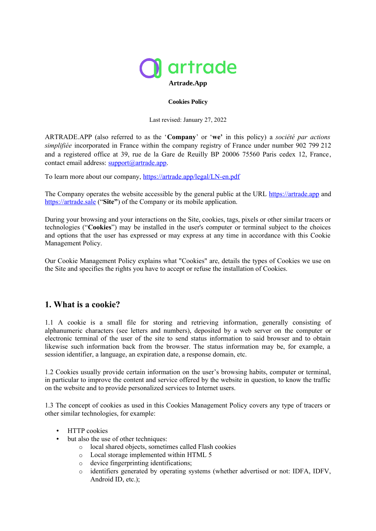

#### **Cookies Policy**

Last revised: January 27, 2022

ARTRADE.APP (also referred to as the '**Company**' or '**we'** in this policy) a *société par actions simplifiée* incorporated in France within the company registry of France under number 902 799 212 and a registered office at 39, rue de la Gare de Reuilly BP 20006 75560 Paris cedex 12, France, contact email address: [support@artrade.app.](mailto:support@artrade.app)

To learn more about our company,<https://artrade.app/legal/LN-en.pdf>

The Company operates the website accessible by the general public at the URL [https://artrade.app](https://artrade.app/fr) and [https://artrade.sale](https://artrade.sale/login) ("**Site"**) of the Company or its mobile application.

During your browsing and your interactions on the Site, cookies, tags, pixels or other similar tracers or technologies ("**Cookies**") may be installed in the user's computer or terminal subject to the choices and options that the user has expressed or may express at any time in accordance with this Cookie Management Policy.

Our Cookie Management Policy explains what "Cookies" are, details the types of Cookies we use on the Site and specifies the rights you have to accept or refuse the installation of Cookies.

### **1. What is a cookie?**

1.1 A cookie is a small file for storing and retrieving information, generally consisting of alphanumeric characters (see letters and numbers), deposited by a web server on the computer or electronic terminal of the user of the site to send status information to said browser and to obtain likewise such information back from the browser. The status information may be, for example, a session identifier, a language, an expiration date, a response domain, etc.

1.2 Cookies usually provide certain information on the user's browsing habits, computer or terminal, in particular to improve the content and service offered by the website in question, to know the traffic on the website and to provide personalized services to Internet users.

1.3 The concept of cookies as used in this Cookies Management Policy covers any type of tracers or other similar technologies, for example:

- HTTP cookies
- but also the use of other techniques:
	- o local shared objects, sometimes called Flash cookies
	- o Local storage implemented within HTML 5
	- o device fingerprinting identifications;
	- o identifiers generated by operating systems (whether advertised or not: IDFA, IDFV, Android ID, etc.);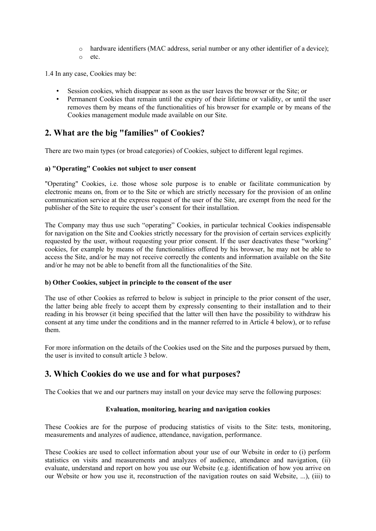- o hardware identifiers (MAC address, serial number or any other identifier of a device);
- o etc.

1.4 In any case, Cookies may be:

- Session cookies, which disappear as soon as the user leaves the browser or the Site; or
- Permanent Cookies that remain until the expiry of their lifetime or validity, or until the user removes them by means of the functionalities of his browser for example or by means of the Cookies management module made available on our Site.

# **2. What are the big "families" of Cookies?**

There are two main types (or broad categories) of Cookies, subject to different legal regimes.

### **a) "Operating" Cookies not subject to user consent**

"Operating" Cookies, i.e. those whose sole purpose is to enable or facilitate communication by electronic means on, from or to the Site or which are strictly necessary for the provision of an online communication service at the express request of the user of the Site, are exempt from the need for the publisher of the Site to require the user's consent for their installation.

The Company may thus use such "operating" Cookies, in particular technical Cookies indispensable for navigation on the Site and Cookies strictly necessary for the provision of certain services explicitly requested by the user, without requesting your prior consent. If the user deactivates these "working" cookies, for example by means of the functionalities offered by his browser, he may not be able to access the Site, and/or he may not receive correctly the contents and information available on the Site and/or he may not be able to benefit from all the functionalities of the Site.

### **b) Other Cookies, subject in principle to the consent of the user**

The use of other Cookies as referred to below is subject in principle to the prior consent of the user, the latter being able freely to accept them by expressly consenting to their installation and to their reading in his browser (it being specified that the latter will then have the possibility to withdraw his consent at any time under the conditions and in the manner referred to in Article 4 below), or to refuse them.

For more information on the details of the Cookies used on the Site and the purposes pursued by them, the user is invited to consult article 3 below.

### **3. Which Cookies do we use and for what purposes?**

The Cookies that we and our partners may install on your device may serve the following purposes:

### **Evaluation, monitoring, hearing and navigation cookies**

These Cookies are for the purpose of producing statistics of visits to the Site: tests, monitoring, measurements and analyzes of audience, attendance, navigation, performance.

These Cookies are used to collect information about your use of our Website in order to (i) perform statistics on visits and measurements and analyzes of audience, attendance and navigation, (ii) evaluate, understand and report on how you use our Website (e.g. identification of how you arrive on our Website or how you use it, reconstruction of the navigation routes on said Website, ...), (iii) to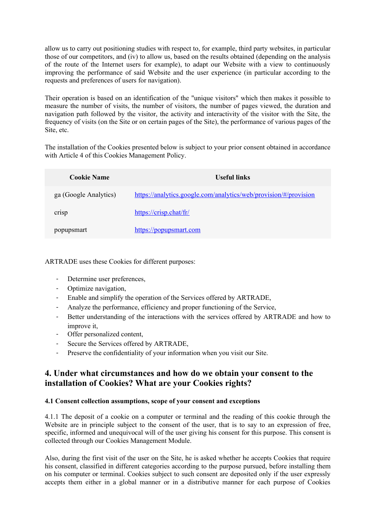allow us to carry out positioning studies with respect to, for example, third party websites, in particular those of our competitors, and (iv) to allow us, based on the results obtained (depending on the analysis of the route of the Internet users for example), to adapt our Website with a view to continuously improving the performance of said Website and the user experience (in particular according to the requests and preferences of users for navigation).

Their operation is based on an identification of the "unique visitors" which then makes it possible to measure the number of visits, the number of visitors, the number of pages viewed, the duration and navigation path followed by the visitor, the activity and interactivity of the visitor with the Site, the frequency of visits (on the Site or on certain pages of the Site), the performance of various pages of the Site, etc.

The installation of the Cookies presented below is subject to your prior consent obtained in accordance with Article 4 of this Cookies Management Policy.

| <b>Cookie Name</b>    | <b>Useful links</b>                                              |
|-----------------------|------------------------------------------------------------------|
| ga (Google Analytics) | https://analytics.google.com/analytics/web/provision/#/provision |
| crisp                 | https://crisp.chat/fr/                                           |
| popupsmart            | https://popupsmart.com                                           |

ARTRADE uses these Cookies for different purposes:

- Determine user preferences,
- Optimize navigation,
- Enable and simplify the operation of the Services offered by ARTRADE,
- Analyze the performance, efficiency and proper functioning of the Service,
- Better understanding of the interactions with the services offered by ARTRADE and how to improve it,
- Offer personalized content,
- Secure the Services offered by ARTRADE,
- Preserve the confidentiality of your information when you visit our Site.

### **4. Under what circumstances and how do we obtain your consent to the installation of Cookies? What are your Cookies rights?**

#### **4.1 Consent collection assumptions, scope of your consent and exceptions**

4.1.1 The deposit of a cookie on a computer or terminal and the reading of this cookie through the Website are in principle subject to the consent of the user, that is to say to an expression of free, specific, informed and unequivocal will of the user giving his consent for this purpose. This consent is collected through our Cookies Management Module.

Also, during the first visit of the user on the Site, he is asked whether he accepts Cookies that require his consent, classified in different categories according to the purpose pursued, before installing them on his computer or terminal. Cookies subject to such consent are deposited only if the user expressly accepts them either in a global manner or in a distributive manner for each purpose of Cookies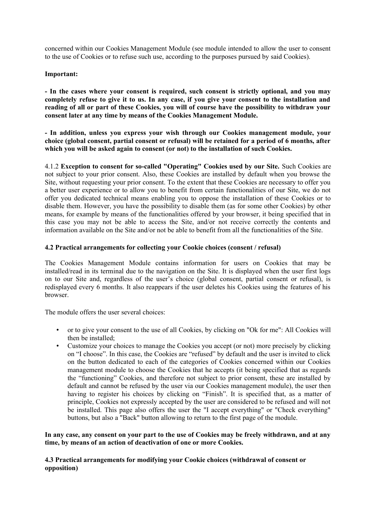concerned within our Cookies Management Module (see module intended to allow the user to consent to the use of Cookies or to refuse such use, according to the purposes pursued by said Cookies).

### **Important:**

**- In the cases where your consent is required, such consent is strictly optional, and you may completely refuse to give it to us. In any case, if you give your consent to the installation and reading of all or part of these Cookies, you will of course have the possibility to withdraw your consent later at any time by means of the Cookies Management Module.**

**- In addition, unless you express your wish through our Cookies management module, your choice (global consent, partial consent or refusal) will be retained for a period of 6 months, after which you will be asked again to consent (or not) to the installation of such Cookies.**

4.1.2 **Exception to consent for so-called "Operating" Cookies used by our Site.** Such Cookies are not subject to your prior consent. Also, these Cookies are installed by default when you browse the Site, without requesting your prior consent. To the extent that these Cookies are necessary to offer you a better user experience or to allow you to benefit from certain functionalities of our Site, we do not offer you dedicated technical means enabling you to oppose the installation of these Cookies or to disable them. However, you have the possibility to disable them (as for some other Cookies) by other means, for example by means of the functionalities offered by your browser, it being specified that in this case you may not be able to access the Site, and/or not receive correctly the contents and information available on the Site and/or not be able to benefit from all the functionalities of the Site.

### **4.2 Practical arrangements for collecting your Cookie choices (consent / refusal)**

The Cookies Management Module contains information for users on Cookies that may be installed/read in its terminal due to the navigation on the Site. It is displayed when the user first logs on to our Site and, regardless of the user's choice (global consent, partial consent or refusal), is redisplayed every 6 months. It also reappears if the user deletes his Cookies using the features of his browser.

The module offers the user several choices:

- or to give your consent to the use of all Cookies, by clicking on "Ok for me": All Cookies will then be installed;
- Customize your choices to manage the Cookies you accept (or not) more precisely by clicking on "I choose". In this case, the Cookies are "refused" by default and the user is invited to click on the button dedicated to each of the categories of Cookies concerned within our Cookies management module to choose the Cookies that he accepts (it being specified that as regards the "functioning" Cookies, and therefore not subject to prior consent, these are installed by default and cannot be refused by the user via our Cookies management module), the user then having to register his choices by clicking on "Finish". It is specified that, as a matter of principle, Cookies not expressly accepted by the user are considered to be refused and will not be installed. This page also offers the user the "I accept everything" or "Check everything" buttons, but also a "Back" button allowing to return to the first page of the module.

### **In any case, any consent on your part to the use of Cookies may be freely withdrawn, and at any time, by means of an action of deactivation of one or more Cookies.**

### **4.3 Practical arrangements for modifying your Cookie choices (withdrawal of consent or opposition)**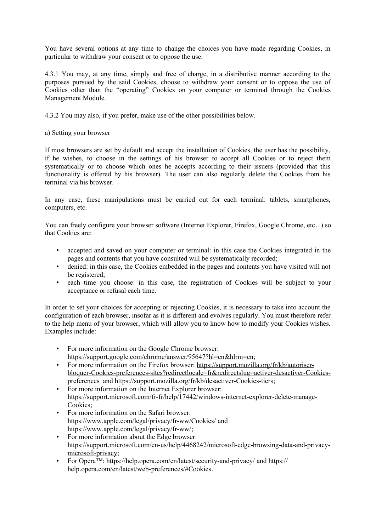You have several options at any time to change the choices you have made regarding Cookies, in particular to withdraw your consent or to oppose the use.

4.3.1 You may, at any time, simply and free of charge, in a distributive manner according to the purposes pursued by the said Cookies, choose to withdraw your consent or to oppose the use of Cookies other than the "operating" Cookies on your computer or terminal through the Cookies Management Module.

4.3.2 You may also, if you prefer, make use of the other possibilities below.

a) Setting your browser

If most browsers are set by default and accept the installation of Cookies, the user has the possibility, if he wishes, to choose in the settings of his browser to accept all Cookies or to reject them systematically or to choose which ones he accepts according to their issuers (provided that this functionality is offered by his browser). The user can also regularly delete the Cookies from his terminal via his browser.

In any case, these manipulations must be carried out for each terminal: tablets, smartphones, computers, etc.

You can freely configure your browser software (Internet Explorer, Firefox, Google Chrome, etc...) so that Cookies are:

- accepted and saved on your computer or terminal: in this case the Cookies integrated in the pages and contents that you have consulted will be systematically recorded;
- denied: in this case, the Cookies embedded in the pages and contents you have visited will not be registered;
- each time you choose: in this case, the registration of Cookies will be subject to your acceptance or refusal each time.

In order to set your choices for accepting or rejecting Cookies, it is necessary to take into account the configuration of each browser, insofar as it is different and evolves regularly. You must therefore refer to the help menu of your browser, which will allow you to know how to modify your Cookies wishes. Examples include:

- For more information on the Google Chrome browser: https://support.google.com/chrome/answer/95647?hl=en&hlrm=en;
- For more information on the Firefox browser: https://support.mozilla.org/fr/kb/autoriserbloquer-Cookies-preferences-sites?redirectlocale=fr&redirectslug=activer-desactiver-Cookiespreferences and https://support.mozilla.org/fr/kb/desactiver-Cookies-tiers;
- For more information on the Internet Explorer browser: https://support.microsoft.com/fr-fr/help/17442/windows-internet-explorer-delete-manage-Cookies;
- For more information on the Safari browser: https://www.apple.com/legal/privacy/fr-ww/Cookies/ and https://www.apple.com/legal/privacy/fr-ww/;
- For more information about the Edge browser: https://support.microsoft.com/en-us/help/4468242/microsoft-edge-browsing-data-and-privacymicrosoft-privacy;
- For Opera<sup>TM</sup>: https://help.opera.com/en/latest/security-and-privacy/ and https:// help.opera.com/en/latest/web-preferences/#Cookies.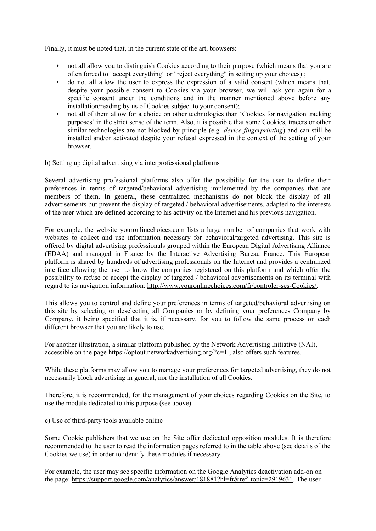Finally, it must be noted that, in the current state of the art, browsers:

- not all allow you to distinguish Cookies according to their purpose (which means that you are often forced to "accept everything" or "reject everything" in setting up your choices) ;
- do not all allow the user to express the expression of a valid consent (which means that, despite your possible consent to Cookies via your browser, we will ask you again for a specific consent under the conditions and in the manner mentioned above before any installation/reading by us of Cookies subject to your consent);
- not all of them allow for a choice on other technologies than 'Cookies for navigation tracking purposes' in the strict sense of the term. Also, it is possible that some Cookies, tracers or other similar technologies are not blocked by principle (e.g. *device fingerprinting*) and can still be installed and/or activated despite your refusal expressed in the context of the setting of your browser.

b) Setting up digital advertising via interprofessional platforms

Several advertising professional platforms also offer the possibility for the user to define their preferences in terms of targeted/behavioral advertising implemented by the companies that are members of them. In general, these centralized mechanisms do not block the display of all advertisements but prevent the display of targeted / behavioral advertisements, adapted to the interests of the user which are defined according to his activity on the Internet and his previous navigation.

For example, the website youronlinechoices.com lists a large number of companies that work with websites to collect and use information necessary for behavioral/targeted advertising. This site is offered by digital advertising professionals grouped within the European Digital Advertising Alliance (EDAA) and managed in France by the Interactive Advertising Bureau France. This European platform is shared by hundreds of advertising professionals on the Internet and provides a centralized interface allowing the user to know the companies registered on this platform and which offer the possibility to refuse or accept the display of targeted / behavioral advertisements on its terminal with regard to its navigation information: http://www.youronlinechoices.com/fr/controler-ses-Cookies/.

This allows you to control and define your preferences in terms of targeted/behavioral advertising on this site by selecting or deselecting all Companies or by defining your preferences Company by Company, it being specified that it is, if necessary, for you to follow the same process on each different browser that you are likely to use.

For another illustration, a similar platform published by the Network Advertising Initiative (NAI), accessible on the page https://optout.networkadvertising.org/?c=1, also offers such features.

While these platforms may allow you to manage your preferences for targeted advertising, they do not necessarily block advertising in general, nor the installation of all Cookies.

Therefore, it is recommended, for the management of your choices regarding Cookies on the Site, to use the module dedicated to this purpose (see above).

c) Use of third-party tools available online

Some Cookie publishers that we use on the Site offer dedicated opposition modules. It is therefore recommended to the user to read the information pages referred to in the table above (see details of the Cookies we use) in order to identify these modules if necessary.

For example, the user may see specific information on the Google Analytics deactivation add-on on the page: https://support.google.com/analytics/answer/181881?hl=fr&ref\_topic=2919631. The user